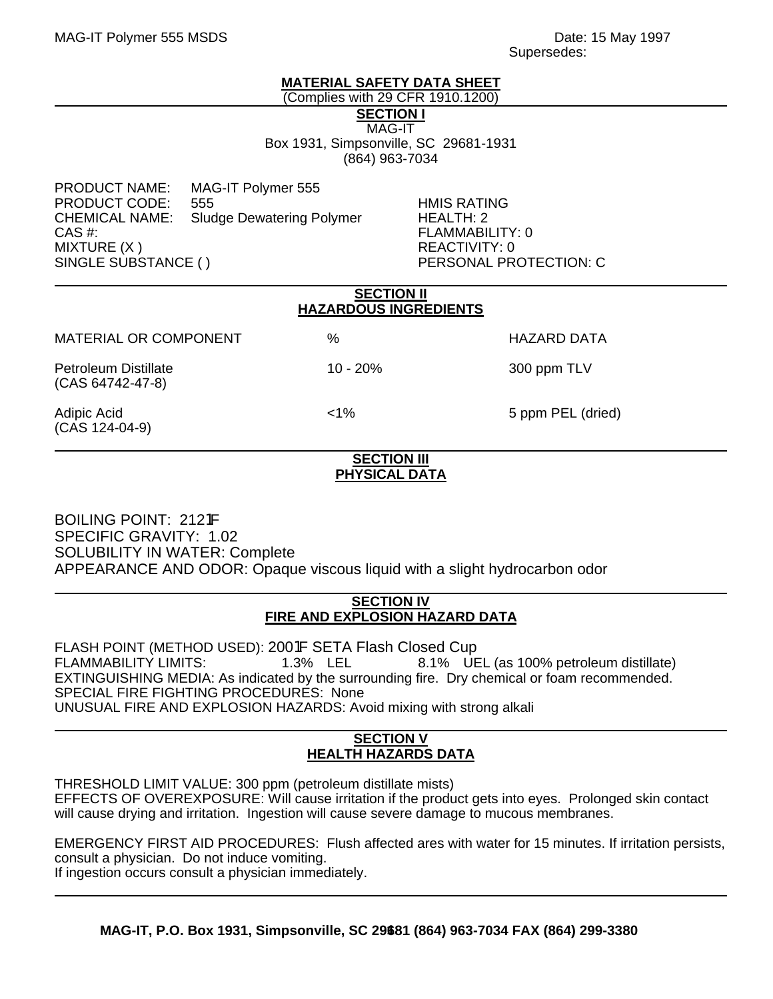## **MATERIAL SAFETY DATA SHEET**

(Complies with 29 CFR 1910.1200)

**SECTION I**

MAG-IT Box 1931, Simpsonville, SC 29681-1931 (864) 963-7034

PRODUCT NAME: MAG-IT Polymer 555 PRODUCT CODE: 555 HMIS RATING CHEMICAL NAME: Sludge Dewatering Polymer HEALTH: 2 CAS #: FLAMMABILITY: 0 MIXTURE (X ) REACTIVITY: 0 SINGLE SUBSTANCE ( ) PERSONAL PROTECTION: C

| <b>SECTION II</b><br><b>HAZARDOUS INGREDIENTS</b> |            |                   |  |
|---------------------------------------------------|------------|-------------------|--|
| <b>MATERIAL OR COMPONENT</b>                      | %          | HAZARD DATA       |  |
| <b>Petroleum Distillate</b><br>(CAS 64742-47-8)   | $10 - 20%$ | 300 ppm TLV       |  |
| Adipic Acid<br>(CAS 124-04-9)                     | $1\%$      | 5 ppm PEL (dried) |  |

#### **SECTION III PHYSICAL DATA**

BOILING POINT: 2121F SPECIFIC GRAVITY: 1.02 SOLUBILITY IN WATER: Complete APPEARANCE AND ODOR: Opaque viscous liquid with a slight hydrocarbon odor

## **SECTION IV FIRE AND EXPLOSION HAZARD DATA**

FLASH POINT (METHOD USED): 2001F SETA Flash Closed Cup FLAMMABILITY LIMITS: 1.3% LEL 8.1% UEL (as 100% petroleum distillate) EXTINGUISHING MEDIA: As indicated by the surrounding fire. Dry chemical or foam recommended. SPECIAL FIRE FIGHTING PROCEDURES: None UNUSUAL FIRE AND EXPLOSION HAZARDS: Avoid mixing with strong alkali

# **SECTION V HEALTH HAZARDS DATA**

THRESHOLD LIMIT VALUE: 300 ppm (petroleum distillate mists) EFFECTS OF OVEREXPOSURE: Will cause irritation if the product gets into eyes. Prolonged skin contact will cause drying and irritation. Ingestion will cause severe damage to mucous membranes.

EMERGENCY FIRST AID PROCEDURES: Flush affected ares with water for 15 minutes. If irritation persists, consult a physician. Do not induce vomiting.

If ingestion occurs consult a physician immediately.